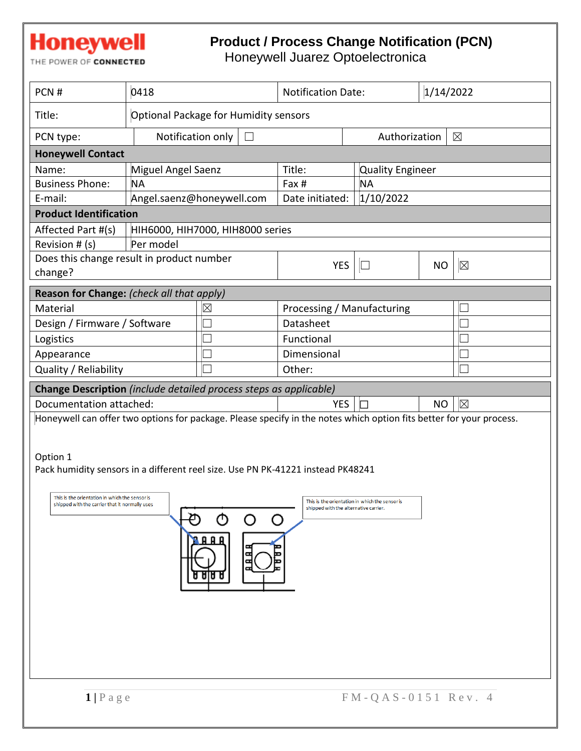## **Honeywell**

## **Product / Process Change Notification (PCN)**

THE POWER OF CONNECTED

Honeywell Juarez Optoelectronica

| PCN#                                                                                                                                                                                                                                                                                                                              | 0418                                  |                                  | <b>Notification Date:</b>  |               | 1/14/2022               |             |  |
|-----------------------------------------------------------------------------------------------------------------------------------------------------------------------------------------------------------------------------------------------------------------------------------------------------------------------------------|---------------------------------------|----------------------------------|----------------------------|---------------|-------------------------|-------------|--|
| Title:                                                                                                                                                                                                                                                                                                                            | Optional Package for Humidity sensors |                                  |                            |               |                         |             |  |
| PCN type:                                                                                                                                                                                                                                                                                                                         | Notification only<br>$\Box$           |                                  |                            | Authorization |                         | $\boxtimes$ |  |
| <b>Honeywell Contact</b>                                                                                                                                                                                                                                                                                                          |                                       |                                  |                            |               |                         |             |  |
| Name:                                                                                                                                                                                                                                                                                                                             | Miguel Angel Saenz                    |                                  | Title:                     |               | <b>Quality Engineer</b> |             |  |
| <b>Business Phone:</b>                                                                                                                                                                                                                                                                                                            | <b>NA</b>                             |                                  | Fax #                      | <b>NA</b>     |                         |             |  |
| E-mail:                                                                                                                                                                                                                                                                                                                           | Angel.saenz@honeywell.com             |                                  | Date initiated:            | 1/10/2022     |                         |             |  |
| <b>Product Identification</b>                                                                                                                                                                                                                                                                                                     |                                       |                                  |                            |               |                         |             |  |
| Affected Part #(s)                                                                                                                                                                                                                                                                                                                |                                       | HIH6000, HIH7000, HIH8000 series |                            |               |                         |             |  |
| Revision # (s)                                                                                                                                                                                                                                                                                                                    | Per model                             |                                  |                            |               |                         |             |  |
| Does this change result in product number<br>change?                                                                                                                                                                                                                                                                              |                                       |                                  | <b>YES</b>                 | $\mathbb L$   | <b>NO</b>               | $\boxtimes$ |  |
| Reason for Change: (check all that apply)                                                                                                                                                                                                                                                                                         |                                       |                                  |                            |               |                         |             |  |
| Material                                                                                                                                                                                                                                                                                                                          |                                       | ⊠                                | Processing / Manufacturing |               |                         |             |  |
| Design / Firmware / Software                                                                                                                                                                                                                                                                                                      |                                       |                                  | Datasheet                  |               |                         |             |  |
| Logistics                                                                                                                                                                                                                                                                                                                         |                                       |                                  | Functional                 |               |                         |             |  |
| Appearance                                                                                                                                                                                                                                                                                                                        |                                       |                                  | Dimensional                |               |                         |             |  |
| Quality / Reliability                                                                                                                                                                                                                                                                                                             |                                       |                                  | Other:                     |               |                         |             |  |
| Change Description (include detailed process steps as applicable)                                                                                                                                                                                                                                                                 |                                       |                                  |                            |               |                         |             |  |
| Documentation attached:                                                                                                                                                                                                                                                                                                           |                                       |                                  | <b>YES</b>                 |               | <b>NO</b>               | $\boxtimes$ |  |
| Honeywell can offer two options for package. Please specify in the notes which option fits better for your process.                                                                                                                                                                                                               |                                       |                                  |                            |               |                         |             |  |
| Option 1<br>Pack humidity sensors in a different reel size. Use PN PK-41221 instead PK48241<br>This is the orientation in which the sensor is<br>This is the orientation in which the sensor is<br>shipped with the carrier that it normally uses<br>shipped with the alternative carrier.<br>ტ<br>O<br>O<br>8 A A<br>Б<br>९ छ। छ |                                       |                                  |                            |               |                         |             |  |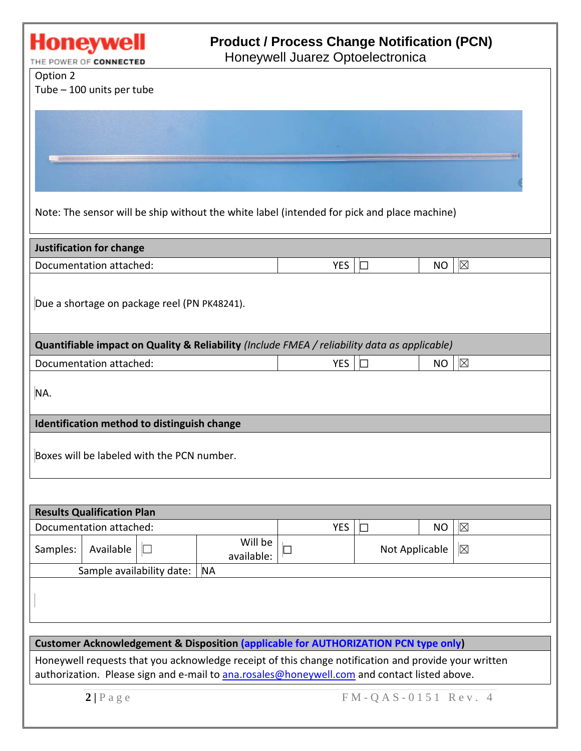

| <b>Results Qualification Plan</b>        |           |  |                       |            |  |                               |             |  |
|------------------------------------------|-----------|--|-----------------------|------------|--|-------------------------------|-------------|--|
| Documentation attached:                  |           |  |                       | <b>YES</b> |  | NO                            | $\boxtimes$ |  |
| Samples:                                 | Available |  | Will be<br>available: |            |  | $\boxtimes$<br>Not Applicable |             |  |
| Sample availability date:  <br><b>NA</b> |           |  |                       |            |  |                               |             |  |
|                                          |           |  |                       |            |  |                               |             |  |

**Customer Acknowledgement & Disposition (applicable for AUTHORIZATION PCN type only)**

Honeywell requests that you acknowledge receipt of this change notification and provide your written authorization. Please sign and e-mail to [ana.rosales@honeywell.com](mailto:ana.rosales@honeywell.com) and contact listed above.